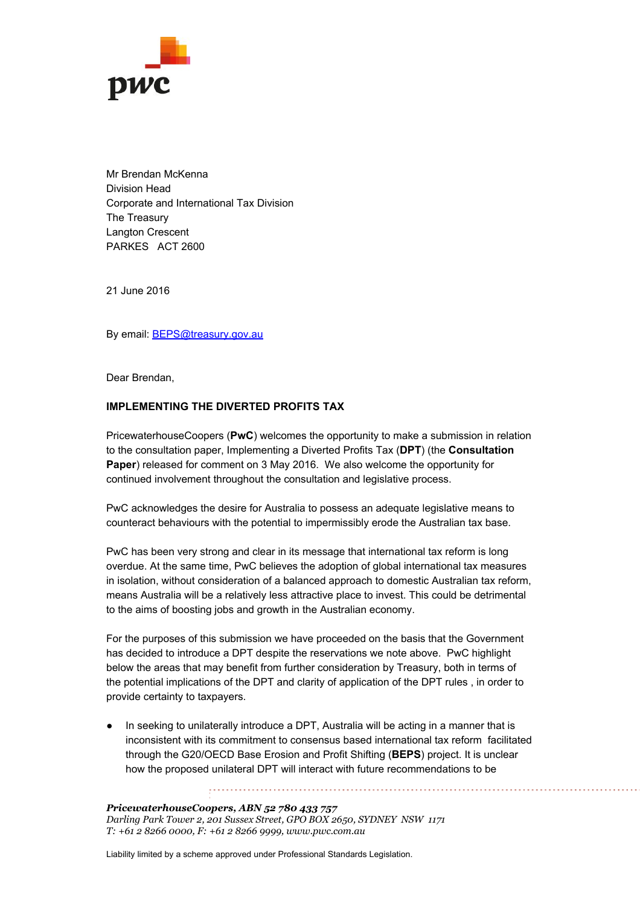

Mr Brendan McKenna Division Head Corporate and International Tax Division The Treasury Langton Crescent PARKES ACT 2600

21 June 2016

By email: **[BEPS@treasury.gov.au](mailto:BEPS@treasury.gov.au)** 

Dear Brendan,

## **IMPLEMENTING THE DIVERTED PROFITS TAX**

PricewaterhouseCoopers (PwC) welcomes the opportunity to make a submission in relation to the consultation paper, Implementing a Diverted Profits Tax (**DPT**) (the **Consultation Paper**) released for comment on 3 May 2016. We also welcome the opportunity for continued involvement throughout the consultation and legislative process.

PwC acknowledges the desire for Australia to possess an adequate legislative means to counteract behaviours with the potential to impermissibly erode the Australian tax base.

PwC has been very strong and clear in its message that international tax reform is long overdue. At the same time, PwC believes the adoption of global international tax measures in isolation, without consideration of a balanced approach to domestic Australian tax reform, means Australia will be a relatively less attractive place to invest. This could be detrimental to the aims of boosting jobs and growth in the Australian economy.

For the purposes of this submission we have proceeded on the basis that the Government has decided to introduce a DPT despite the reservations we note above. PwC highlight below the areas that may benefit from further consideration by Treasury, both in terms of the potential implications of the DPT and clarity of application of the DPT rules , in order to provide certainty to taxpayers.

In seeking to unilaterally introduce a DPT, Australia will be acting in a manner that is inconsistent with its commitment to consensus based international tax reform facilitated through the G20/OECD Base Erosion and Profit Shifting (**BEPS**) project. It is unclear how the proposed unilateral DPT will interact with future recommendations to be

*PricewaterhouseCoopers, ABN 52 780 433 757 Darling Park Tower 2, 201 Sussex Street, GPO BOX 2650, SYDNEY NSW 1171 T: +61 2 8266 0000, F: +61 2 8266 9999, www.pwc.com.au*

Liability limited by a scheme approved under Professional Standards Legislation.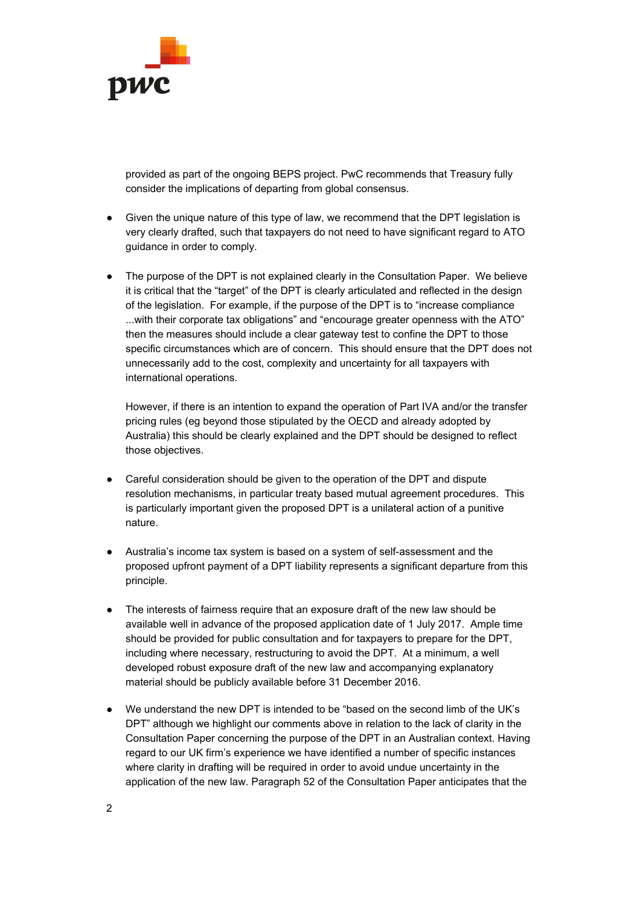

provided as part of the ongoing BEPS project. PwC recommends that Treasury fully consider the implications of departing from global consensus.

- Given the unique nature of this type of law, we recommend that the DPT legislation is very clearly drafted, such that taxpayers do not need to have significant regard to ATO guidance in order to comply.
- The purpose of the DPT is not explained clearly in the Consultation Paper. We believe it is critical that the "target" of the DPT is clearly articulated and reflected in the design of the legislation. For example, if the purpose of the DPT is to "increase compliance ...with their corporate tax obligations" and "encourage greater openness with the ATO" then the measures should include a clear gateway test to confine the DPT to those specific circumstances which are of concern. This should ensure that the DPT does not unnecessarily add to the cost, complexity and uncertainty for all taxpayers with international operations.

However, if there is an intention to expand the operation of Part IVA and/or the transfer pricing rules (eg beyond those stipulated by the OECD and already adopted by Australia) this should be clearly explained and the DPT should be designed to reflect those objectives.

- Careful consideration should be given to the operation of the DPT and dispute resolution mechanisms, in particular treaty based mutual agreement procedures. This is particularly important given the proposed DPT is a unilateral action of a punitive nature.
- Australia's income tax system is based on a system of self-assessment and the proposed upfront payment of a DPT liability represents a significant departure from this principle.
- The interests of fairness require that an exposure draft of the new law should be available well in advance of the proposed application date of 1 July 2017. Ample time should be provided for public consultation and for taxpayers to prepare for the DPT, including where necessary, restructuring to avoid the DPT. At a minimum, a well developed robust exposure draft of the new law and accompanying explanatory material should be publicly available before 31 December 2016.
- We understand the new DPT is intended to be "based on the second limb of the UK's DPT" although we highlight our comments above in relation to the lack of clarity in the Consultation Paper concerning the purpose of the DPT in an Australian context. Having regard to our UK firm's experience we have identified a number of specific instances where clarity in drafting will be required in order to avoid undue uncertainty in the application of the new law. Paragraph 52 of the Consultation Paper anticipates that the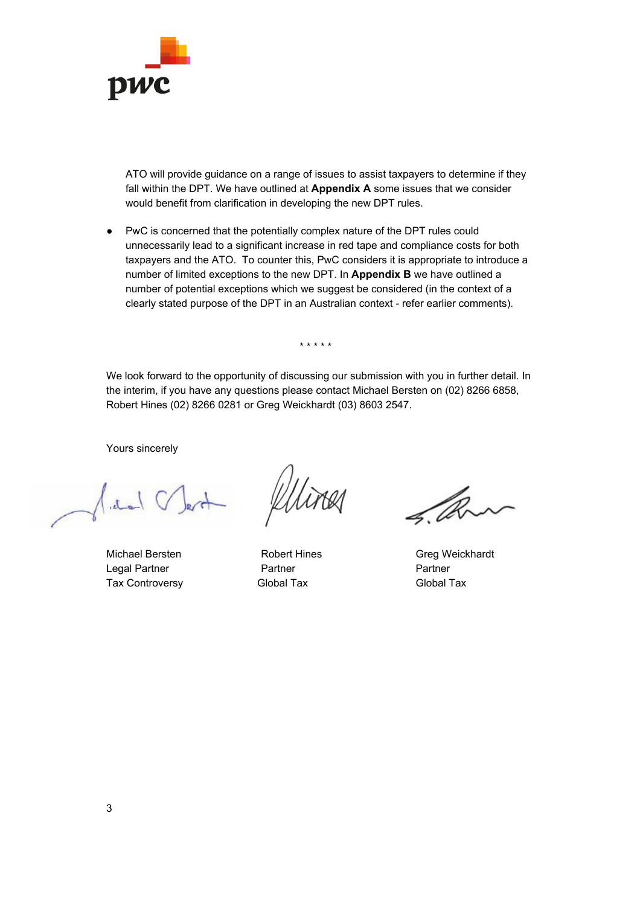

ATO will provide guidance on a range of issues to assist taxpayers to determine if they fall within the DPT. We have outlined at **Appendix A** some issues that we consider would benefit from clarification in developing the new DPT rules.

● PwC is concerned that the potentially complex nature of the DPT rules could unnecessarily lead to a significant increase in red tape and compliance costs for both taxpayers and the ATO. To counter this, PwC considers it is appropriate to introduce a number of limited exceptions to the new DPT. In **Appendix B** we have outlined a number of potential exceptions which we suggest be considered (in the context of a clearly stated purpose of the DPT in an Australian context - refer earlier comments).

\* \* \* \* \*

We look forward to the opportunity of discussing our submission with you in further detail. In the interim, if you have any questions please contact Michael Bersten on (02) 8266 6858, Robert Hines (02) 8266 0281 or Greg Weickhardt (03) 8603 2547.

Yours sincerely

 $\sqrt{d_{\infty}}$ 

Michael Bersten **Nichael Bersten** Robert Hines Greg Weickhardt Legal Partner **Partner** Partner Partner Partner Tax Controversy **Global Tax** Global Tax Global Tax

 $\mathscr{A}$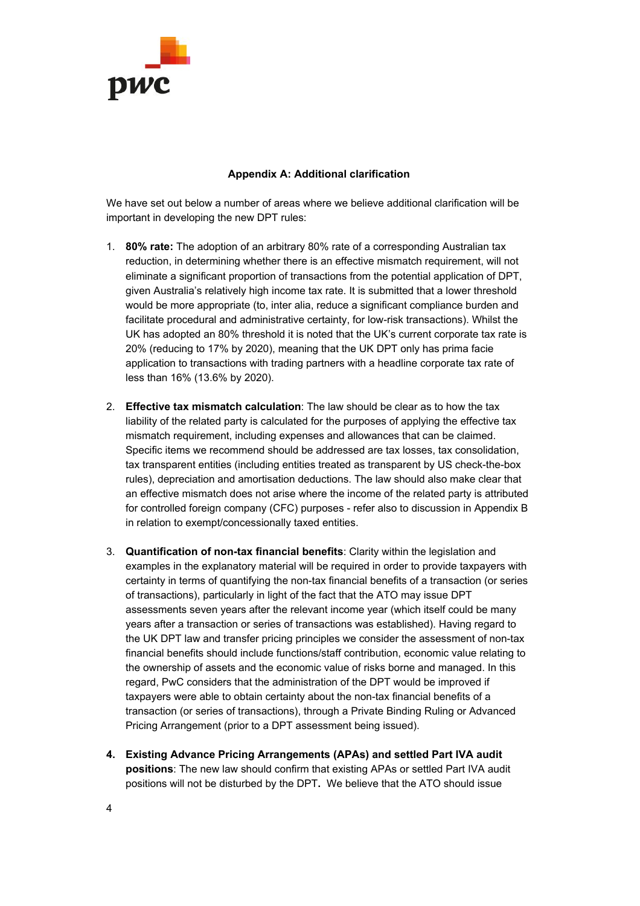

## **Appendix A: Additional clarification**

We have set out below a number of areas where we believe additional clarification will be important in developing the new DPT rules:

- 1. **80% rate:** The adoption of an arbitrary 80% rate of a corresponding Australian tax reduction, in determining whether there is an effective mismatch requirement, will not eliminate a significant proportion of transactions from the potential application of DPT, given Australia's relatively high income tax rate. It is submitted that a lower threshold would be more appropriate (to, inter alia, reduce a significant compliance burden and facilitate procedural and administrative certainty, for low-risk transactions). Whilst the UK has adopted an 80% threshold it is noted that the UK's current corporate tax rate is 20% (reducing to 17% by 2020), meaning that the UK DPT only has prima facie application to transactions with trading partners with a headline corporate tax rate of less than 16% (13.6% by 2020).
- 2. **Effective tax mismatch calculation**: The law should be clear as to how the tax liability of the related party is calculated for the purposes of applying the effective tax mismatch requirement, including expenses and allowances that can be claimed. Specific items we recommend should be addressed are tax losses, tax consolidation, tax transparent entities (including entities treated as transparent by US check-the-box rules), depreciation and amortisation deductions. The law should also make clear that an effective mismatch does not arise where the income of the related party is attributed for controlled foreign company (CFC) purposes - refer also to discussion in Appendix B in relation to exempt/concessionally taxed entities.
- 3. **Quantification of nontax financial benefits**:Clarity within the legislation and examples in the explanatory material will be required in order to provide taxpayers with certainty in terms of quantifying the non-tax financial benefits of a transaction (or series of transactions), particularly in light of the fact that the ATO may issue DPT assessments seven years after the relevant income year (which itself could be many years after a transaction or series of transactions was established). Having regard to the UK DPT law and transfer pricing principles we consider the assessment of non-tax financial benefits should include functions/staff contribution, economic value relating to the ownership of assets and the economic value of risks borne and managed. In this regard, PwC considers that the administration of the DPT would be improved if taxpayers were able to obtain certainty about the non-tax financial benefits of a transaction (or series of transactions), through a Private Binding Ruling or Advanced Pricing Arrangement (prior to a DPT assessment being issued).
- **4. Existing Advance Pricing Arrangements (APAs) and settled Part IVA audit positions**: The new law should confirm that existing APAs or settled Part IVA audit positions will not be disturbed by the DPT**.** We believe that the ATO should issue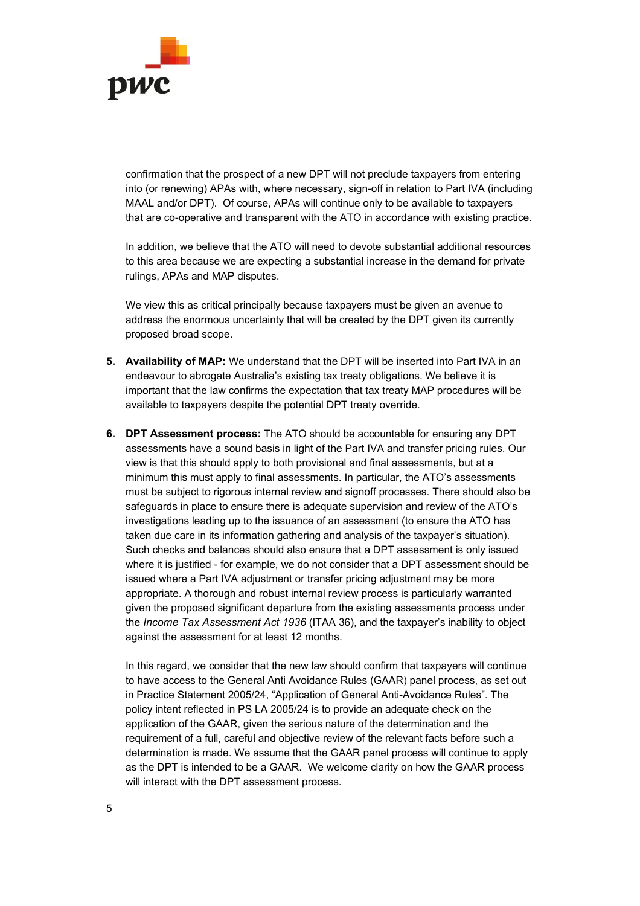

confirmation that the prospect of a new DPT will not preclude taxpayers from entering into (or renewing) APAs with, where necessary, sign-off in relation to Part IVA (including MAAL and/or DPT). Of course, APAs will continue only to be available to taxpayers that are co-operative and transparent with the ATO in accordance with existing practice.

In addition, we believe that the ATO will need to devote substantial additional resources to this area because we are expecting a substantial increase in the demand for private rulings, APAs and MAP disputes.

We view this as critical principally because taxpayers must be given an avenue to address the enormous uncertainty that will be created by the DPT given its currently proposed broad scope.

- **5. Availability of MAP:** We understand that the DPT will be inserted into Part IVA in an endeavour to abrogate Australia's existing tax treaty obligations. We believe it is important that the law confirms the expectation that tax treaty MAP procedures will be available to taxpayers despite the potential DPT treaty override.
- **6. DPT Assessment process:** The ATO should be accountable for ensuring any DPT assessments have a sound basis in light of the Part IVA and transfer pricing rules. Our view is that this should apply to both provisional and final assessments, but at a minimum this must apply to final assessments. In particular, the ATO's assessments must be subject to rigorous internal review and signoff processes. There should also be safeguards in place to ensure there is adequate supervision and review of the ATO's investigations leading up to the issuance of an assessment (to ensure the ATO has taken due care in its information gathering and analysis of the taxpayer's situation). Such checks and balances should also ensure that a DPT assessment is only issued where it is justified - for example, we do not consider that a DPT assessment should be issued where a Part IVA adjustment or transfer pricing adjustment may be more appropriate. A thorough and robust internal review process is particularly warranted given the proposed significant departure from the existing assessments process under the *Income Tax Assessment Act 1936* (ITAA 36), and the taxpayer's inability to object against the assessment for at least 12 months.

In this regard, we consider that the new law should confirm that taxpayers will continue to have access to the General Anti Avoidance Rules (GAAR) panel process, as set out in Practice Statement 2005/24, "Application of General Anti-Avoidance Rules". The policy intent reflected in PS LA 2005/24 is to provide an adequate check on the application of the GAAR, given the serious nature of the determination and the requirement of a full, careful and objective review of the relevant facts before such a determination is made. We assume that the GAAR panel process will continue to apply as the DPT is intended to be a GAAR. We welcome clarity on how the GAAR process will interact with the DPT assessment process.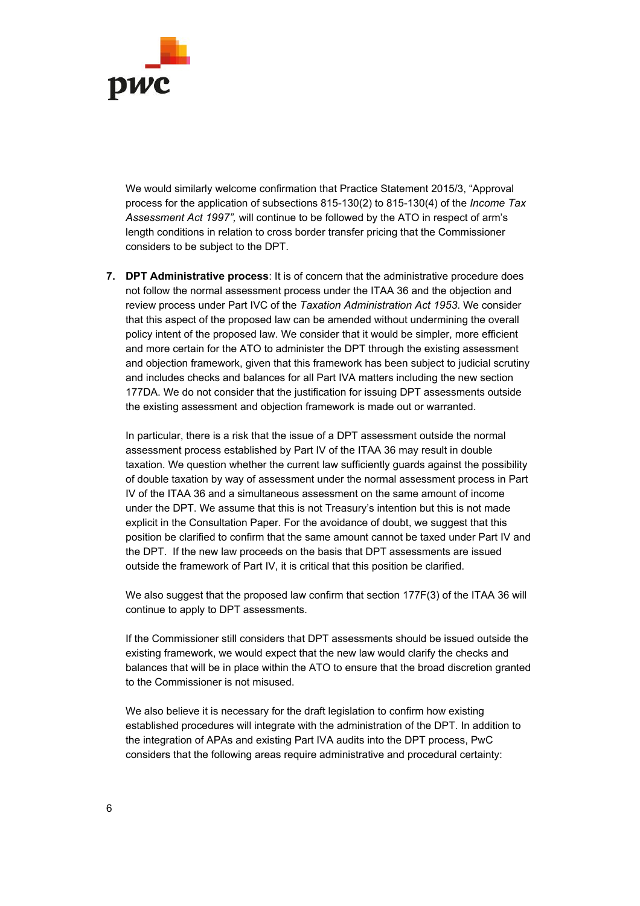

We would similarly welcome confirmation that Practice Statement 2015/3, "Approval process for the application of subsections 815-130(2) to 815-130(4) of the *Income Tax Assessment Act 1997",* will continue to be followed by the ATO in respect of arm's length conditions in relation to cross border transfer pricing that the Commissioner considers to be subject to the DPT.

**7. DPT Administrative process**: It is of concern that the administrative procedure does not follow the normal assessment process under the ITAA 36 and the objection and review process under Part IVC of the *Taxation Administration Act 1953*. We consider that this aspect of the proposed law can be amended without undermining the overall policy intent of the proposed law. We consider that it would be simpler, more efficient and more certain for the ATO to administer the DPT through the existing assessment and objection framework, given that this framework has been subject to judicial scrutiny and includes checks and balances for all Part IVA matters including the new section 177DA. We do not consider that the justification for issuing DPT assessments outside the existing assessment and objection framework is made out or warranted.

In particular, there is a risk that the issue of a DPT assessment outside the normal assessment process established by Part IV of the ITAA 36 may result in double taxation. We question whether the current law sufficiently guards against the possibility of double taxation by way of assessment under the normal assessment process in Part IV of the ITAA 36 and a simultaneous assessment on the same amount of income under the DPT. We assume that this is not Treasury's intention but this is not made explicit in the Consultation Paper. For the avoidance of doubt, we suggest that this position be clarified to confirm that the same amount cannot be taxed under Part IV and the DPT. If the new law proceeds on the basis that DPT assessments are issued outside the framework of Part IV, it is critical that this position be clarified.

We also suggest that the proposed law confirm that section 177F(3) of the ITAA 36 will continue to apply to DPT assessments.

If the Commissioner still considers that DPT assessments should be issued outside the existing framework, we would expect that the new law would clarify the checks and balances that will be in place within the ATO to ensure that the broad discretion granted to the Commissioner is not misused.

We also believe it is necessary for the draft legislation to confirm how existing established procedures will integrate with the administration of the DPT. In addition to the integration of APAs and existing Part IVA audits into the DPT process, PwC considers that the following areas require administrative and procedural certainty: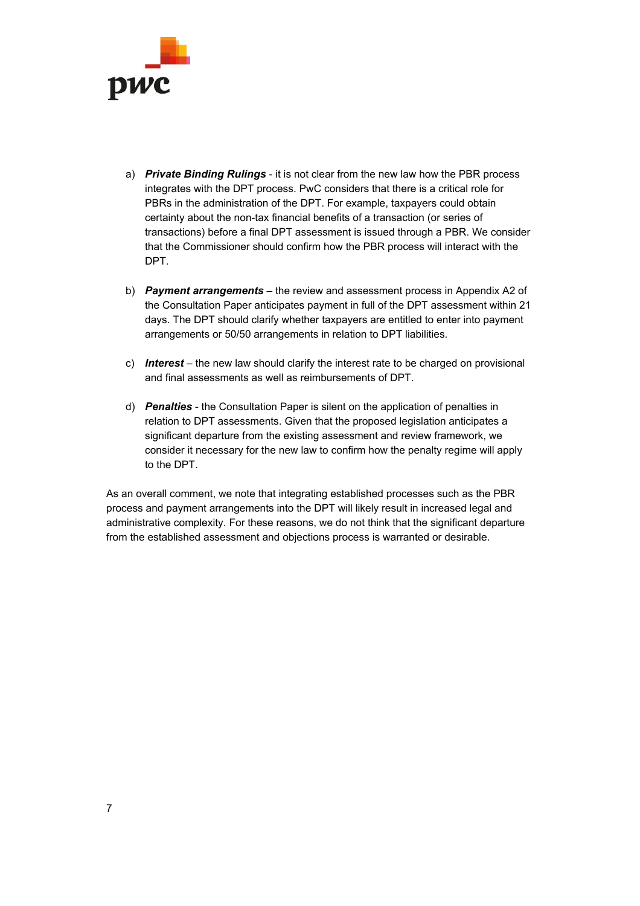

- a) *Private Binding Rulings* it is not clear from the new law how the PBR process integrates with the DPT process. PwC considers that there is a critical role for PBRs in the administration of the DPT. For example, taxpayers could obtain certainty about the non-tax financial benefits of a transaction (or series of transactions) before a final DPT assessment is issued through a PBR. We consider that the Commissioner should confirm how the PBR process will interact with the DPT.
- b) *Payment arrangements* the review and assessment process in Appendix A2 of the Consultation Paper anticipates payment in full of the DPT assessment within 21 days. The DPT should clarify whether taxpayers are entitled to enter into payment arrangements or 50/50 arrangements in relation to DPT liabilities.
- c) *Interest* the new law should clarify the interest rate to be charged on provisional and final assessments as well as reimbursements of DPT.
- d) **Penalties** the Consultation Paper is silent on the application of penalties in relation to DPT assessments. Given that the proposed legislation anticipates a significant departure from the existing assessment and review framework, we consider it necessary for the new law to confirm how the penalty regime will apply to the DPT.

As an overall comment, we note that integrating established processes such as the PBR process and payment arrangements into the DPT will likely result in increased legal and administrative complexity. For these reasons, we do not think that the significant departure from the established assessment and objections process is warranted or desirable.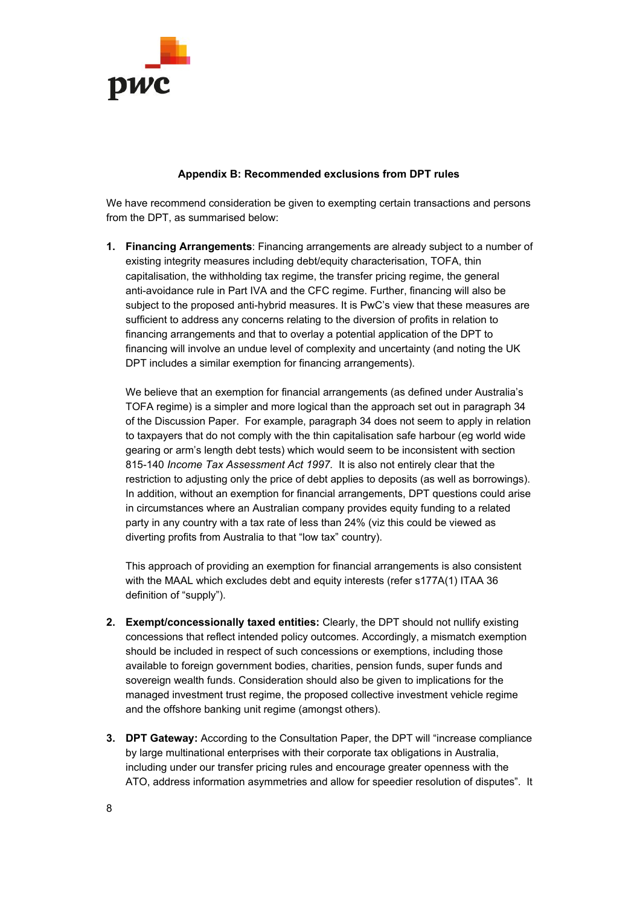

## **Appendix B: Recommended exclusions from DPT rules**

We have recommend consideration be given to exempting certain transactions and persons from the DPT, as summarised below:

**1. Financing Arrangements**: Financing arrangements are already subject to a number of existing integrity measures including debt/equity characterisation, TOFA, thin capitalisation, the withholding tax regime, the transfer pricing regime, the general anti-avoidance rule in Part IVA and the CFC regime. Further, financing will also be subject to the proposed anti-hybrid measures. It is PwC's view that these measures are sufficient to address any concerns relating to the diversion of profits in relation to financing arrangements and that to overlay a potential application of the DPT to financing will involve an undue level of complexity and uncertainty (and noting the UK DPT includes a similar exemption for financing arrangements).

We believe that an exemption for financial arrangements (as defined under Australia's TOFA regime) is a simpler and more logical than the approach set out in paragraph 34 of the Discussion Paper. For example, paragraph 34 does not seem to apply in relation to taxpayers that do not comply with the thin capitalisation safe harbour (eg world wide gearing or arm's length debt tests) which would seem to be inconsistent with section 815140 *Income Tax Assessment Act 1997.* It is also not entirely clear that the restriction to adjusting only the price of debt applies to deposits (as well as borrowings). In addition, without an exemption for financial arrangements, DPT questions could arise in circumstances where an Australian company provides equity funding to a related party in any country with a tax rate of less than 24% (viz this could be viewed as diverting profits from Australia to that "low tax" country).

This approach of providing an exemption for financial arrangements is also consistent with the MAAL which excludes debt and equity interests (refer s177A(1) ITAA 36 definition of "supply").

- **2. Exempt/concessionally taxed entities:** Clearly, the DPT should not nullify existing concessions that reflect intended policy outcomes. Accordingly, a mismatch exemption should be included in respect of such concessions or exemptions, including those available to foreign government bodies, charities, pension funds, super funds and sovereign wealth funds. Consideration should also be given to implications for the managed investment trust regime, the proposed collective investment vehicle regime and the offshore banking unit regime (amongst others).
- **3. DPT Gateway:** According to the Consultation Paper, the DPT will "increase compliance by large multinational enterprises with their corporate tax obligations in Australia, including under our transfer pricing rules and encourage greater openness with the ATO, address information asymmetries and allow for speedier resolution of disputes". It